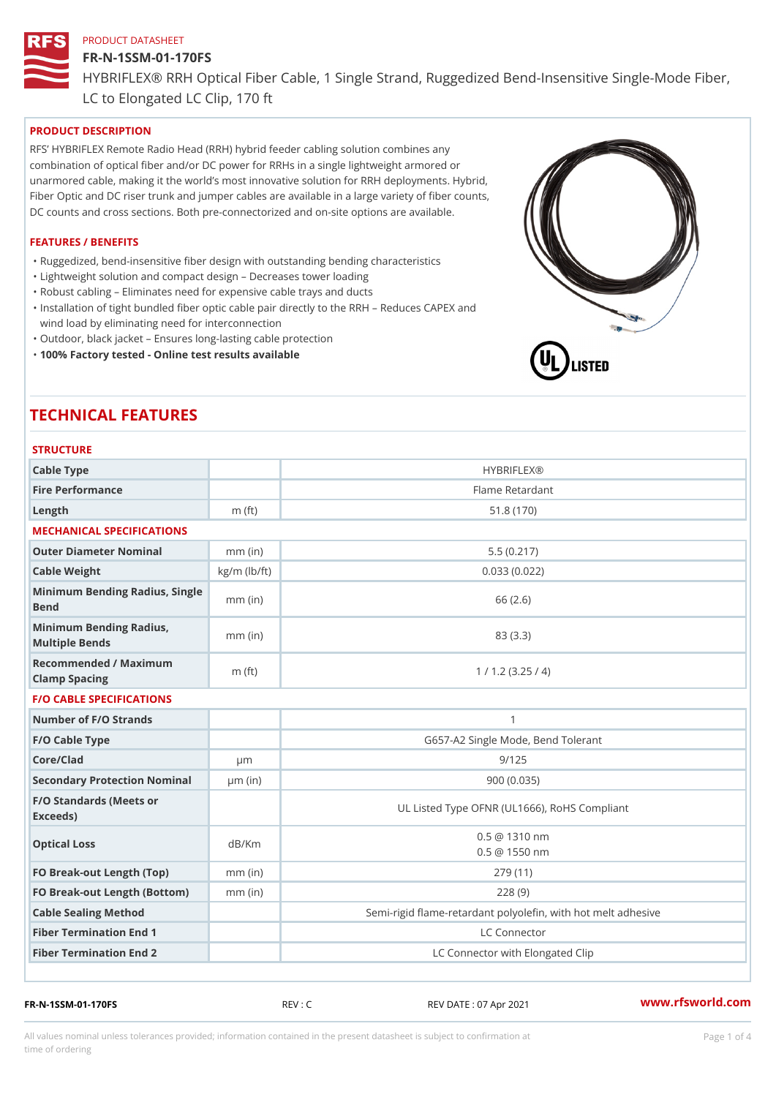# FR-N-1SSM-01-170FS

HYBRIFLEX® RRH Optical Fiber Cable, 1 Single Strand, Ruggedized Be

LC to Elongated LC Clip, 170 ft

## PRODUCT DESCRIPTION

RFS HYBRIFLEX Remote Radio Head (RRH) hybrid feeder cabling solution combines any combination of optical fiber and/or DC power for RRHs in a single lightweight armored or unarmored cable, making it the world s most innovative solution for RRH deployments. Hybrid, Fiber Optic and DC riser trunk and jumper cables are available in a large variety of fiber counts, DC counts and cross sections. Both pre-connectorized and on-site options are available.

#### FEATURES / BENEFITS

"Ruggedized, bend-insensitive fiber design with outstanding bending characteristics

- "Lightweight solution and compact design Decreases tower loading
- "Robust cabling Eliminates need for expensive cable trays and ducts
- "Installation of tight bundled fiber optic cable pair directly to the RRH Aeduces CAPEX and wind load by eliminating need for interconnection
- "Outdoor, black jacket Ensures long-lasting cable protection
- "100% Factory tested Online test results available

# TECHNICAL FEATURES

| <b>STRUCTURE</b>                                  |                    |                                                          |
|---------------------------------------------------|--------------------|----------------------------------------------------------|
| Cable Type                                        |                    | <b>HYBRIFLEX®</b>                                        |
| Fire Performance                                  |                    | Flame Retardant                                          |
| $L$ ength                                         | $m$ (ft)           | 51.8(170)                                                |
| MECHANICAL SPECIFICATIONS                         |                    |                                                          |
| Outer Diameter Nominal                            | $mm$ (in)          | 5.5(0.217)                                               |
| Cable Weight                                      | $kg/m$ ( $lb/ft$ ) | 0.033(0.022)                                             |
| Minimum Bending Radius, Single<br>Bend            |                    | 66 (2.6)                                                 |
| Minimum Bending Radius, mm (in)<br>Multiple Bends |                    | 83 (3.3)                                                 |
| Recommended / Maximum<br>Clamp Spacing            | $m$ (ft)           | 1 / 1.2 (3.25 / 4)                                       |
| F/O CABLE SPECIFICATIONS                          |                    |                                                          |
| Number of F/O Strands                             |                    | $\mathbf{1}$                                             |
| F/O Cable Type                                    |                    | G657-A2 Single Mode, Bend Tolerant                       |
| Core/Clad                                         | $\mu$ m            | 9/125                                                    |
| Secondary Protection Nomumal(in)                  |                    | 900 (0.035)                                              |
| F/O Standards (Meets or<br>Exceeds)               |                    | UL Listed Type OFNR (UL1666), RoHS Compliant             |
| Optical Loss                                      | dB/Km              | $0.5 \ @ \ 1310 \ nm$<br>$0.5 \t@ 1550 nm$               |
| FO Break-out Length (Top)mm (in)                  |                    | 279 (11)                                                 |
| FO Break-out Length (Bottomm) (in)                |                    | 228(9)                                                   |
| Cable Sealing Method                              |                    | Semi-rigid flame-retardant polyolefin, with hot melt adl |
| Fiber Termination End                             |                    | LC Connector                                             |
| Fiber Termination End 2                           |                    | LC Connector with Elongated Clip                         |

FR-N-1SSM-01-170FS REV : C REV DATE : 07 Apr 2021 [www.](https://www.rfsworld.com)rfsworld.com

All values nominal unless tolerances provided; information contained in the present datasheet is subject to Pcapgeligimation time of ordering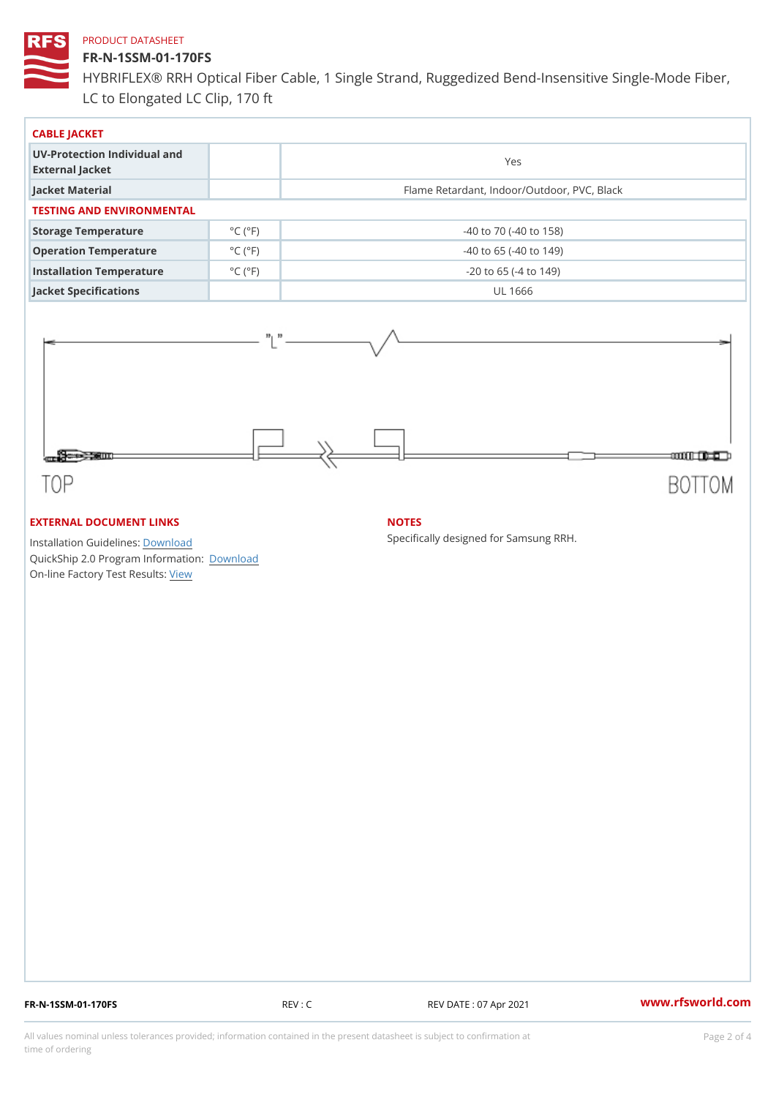### FR-N-1SSM-01-170FS

HYBRIFLEX® RRH Optical Fiber Cable, 1 Single Strand, Ruggedized Be LC to Elongated LC Clip, 170 ft

| CABLE JACKET                                    |                             |                                             |  |  |  |
|-------------------------------------------------|-----------------------------|---------------------------------------------|--|--|--|
| UV-Protection Individual and<br>External Jacket |                             | Yes                                         |  |  |  |
| Jacket Material                                 |                             | Flame Retardant, Indoor/Outdoor, PVC, Black |  |  |  |
| TESTING AND ENVIRONMENTAL                       |                             |                                             |  |  |  |
| Storage Temperature                             | $^{\circ}$ C ( $^{\circ}$ F | $-40$ to $70$ ( $-40$ to $158$ )            |  |  |  |
| Operation Temperature                           | $^{\circ}$ C ( $^{\circ}$ F | $-40$ to 65 ( $-40$ to 149)                 |  |  |  |
| Installation Temperature                        | $^{\circ}$ C ( $^{\circ}$ F | $-20$ to 65 ( $-4$ to 149)                  |  |  |  |
| Jacket Specifications                           |                             | UL 1666                                     |  |  |  |

### EXTERNAL DOCUMENT LINKS

Installation Guidelwinessad QuickShip 2.0 Program [Informa](http://www.rfsworld.com/images/hybriflex/quickship_program_2.pdf)tion: On-line Factory Te[s](https://www.rfsworld.com/pictures/userfiles/programs/AAST Latest Version.zip)teResults:

### NOTES

Specifically designed for Samsung RRH.

FR-N-1SSM-01-170FS REV : C REV DATE : 07 Apr 2021 [www.](https://www.rfsworld.com)rfsworld.com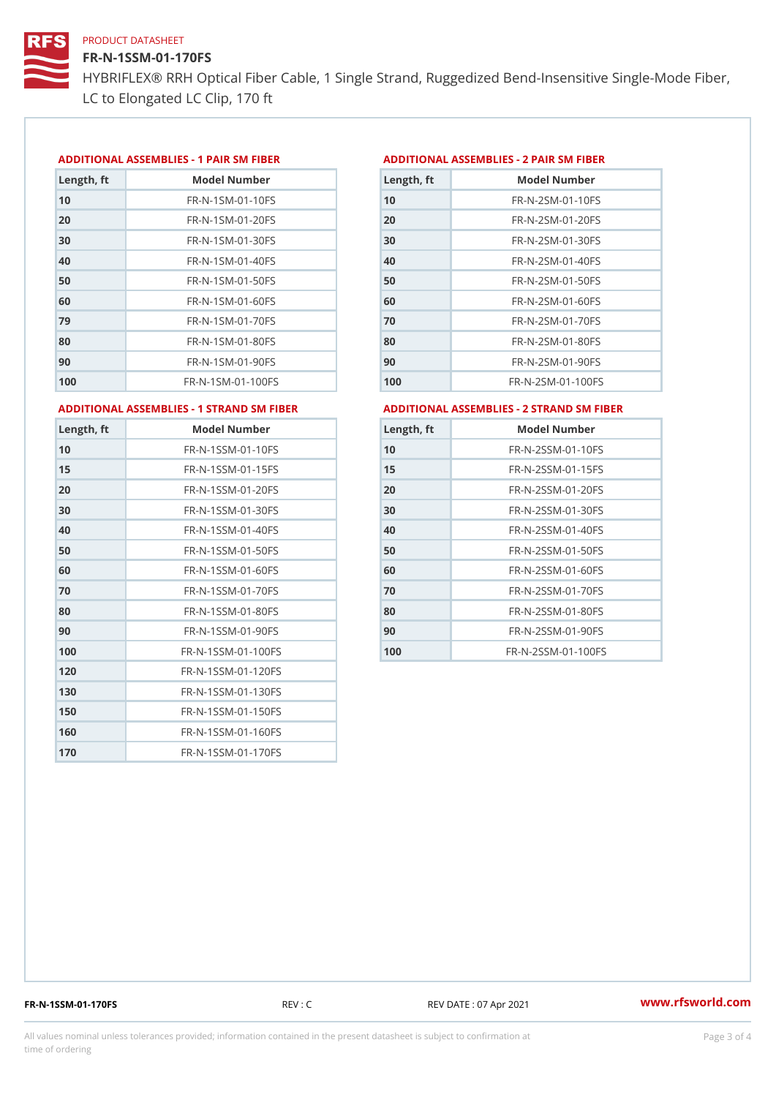FR-N-1SSM-01-170FS HYBRIFLEX® RRH Optical Fiber Cable, 1 Single Strand, Ruggedized Be

LC to Elongated LC Clip, 170 ft

#### ADDITIONAL ASSEMBLIES - 1 PAIR SM FIBERED DITIONAL ASSEMBLIES - 2 PAIR SM FIBER

| Length, ft | Model Number                   |
|------------|--------------------------------|
| 10         | $FR - N - 1$ S M - 01 - 10 F S |
| 20         | $FR - N - 1$ S M - 01 - 20 F S |
| 30         | $FR - N - 1$ S M - 01 - 30 F S |
| 40         | $FR - N - 1$ S M - 01 - 40 F S |
| 50         | $FR - N - 1$ S M - 01 - 50 F S |
| 60         | $FR - N - 1$ SM - 01 - 60 F S  |
| 79         | FR-N-1SM-01-70FS               |
| 80         | $FR - N - 1$ S M - 01 - 80 F S |
| 90         | FR-N-1SM-01-90FS               |
| 100        | FR-N-1SM-01-100FS              |

| Length, ft | Model Number                   |
|------------|--------------------------------|
| 10         | FR-N-2SM-01-10FS               |
| 20         | FR-N-2SM-01-20FS               |
| 30         | FR-N-2SM-01-30FS               |
| 40         | FR-N-2SM-01-40FS               |
| 50         | $FR - N - 2 S M - 01 - 50 F S$ |
| 60         | $FR - N - 2 S M - 01 - 60 F S$ |
| 70         | FR-N-2SM-01-70FS               |
| 80         | $FR - N - 2 S M - 01 - 80 F S$ |
| 90         | FR-N-2SM-01-90FS               |
| 100        | $FR - N - 2 SM - 01 - 100 FS$  |
|            |                                |

ADDITIONAL ASSEMBLIES - 1 STRAND SM FABSDRTIONAL ASSEMBLIES - 2 STRAND SM FIBER

| Length, ft | Model Number       |
|------------|--------------------|
| 10         | FR-N-1SSM-01-10FS  |
| 15         | FR-N-1SSM-01-15FS  |
| 20         | FR-N-1SSM-01-20FS  |
| 30         | FR-N-1SSM-01-30FS  |
| 40         | FR-N-1SSM-01-40FS  |
| 50         | FR-N-1SSM-01-50FS  |
| 60         | FR-N-1SSM-01-60FS  |
| 70         | FR-N-1SSM-01-70FS  |
| 80         | FR-N-1SSM-01-80FS  |
| 90         | FR-N-1SSM-01-90FS  |
| 100        | FR-N-1SSM-01-100FS |
| 120        | FR-N-1SSM-01-120FS |
| 130        | FR-N-1SSM-01-130FS |
| 150        | FR-N-1SSM-01-150FS |
| 160        | FR-N-1SSM-01-160FS |
| 170        | FR-N-1SSM-01-170FS |

| Length, ft | Model Number                     |
|------------|----------------------------------|
| 10         | $FR - N - 2$ S S M - 01 - 10 F S |
| 15         | FR-N-2SSM-01-15FS                |
| 20         | FR-N-2SSM-01-20FS                |
| 30         | FR-N-2SSM-01-30FS                |
| 40         | $FR - N - 2$ S S M - 01 - 40 F S |
| 50         | $FR - N - 2$ S S M - 01 - 50 F S |
| 60         | $FR - N - 2$ S S M - 01 - 60 F S |
| 70         | FR-N-2SSM-01-70FS                |
| 80         | $FR - N - 2$ S S M - 01 - 80 F S |
| 90         | $FR - N - 2$ S S M - 01 - 90 F S |
| 100        | FR-N-2SSM-01-100FS               |

FR-N-1SSM-01-170FS REV : C REV DATE : 07 Apr 2021 [www.](https://www.rfsworld.com)rfsworld.com